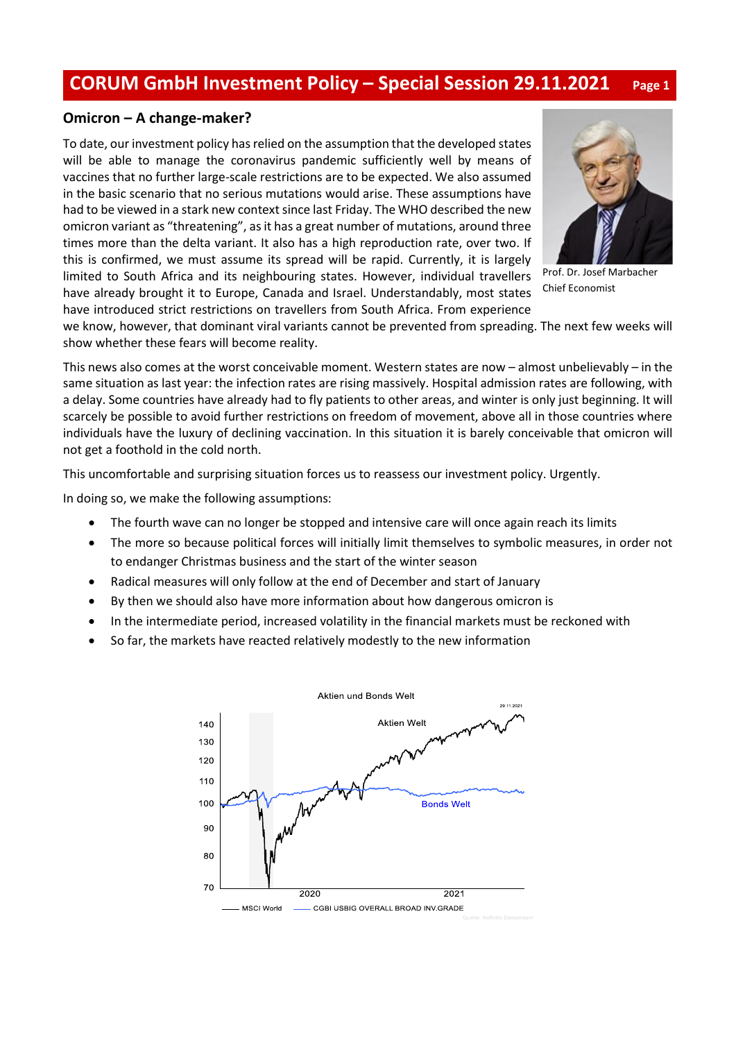## **CORUM GmbH Investment Policy – Special Session 29.11.2021 Page <sup>1</sup>**

## **Omicron – A change-maker?**

To date, our investment policy has relied on the assumption that the developed states will be able to manage the coronavirus pandemic sufficiently well by means of vaccines that no further large-scale restrictions are to be expected. We also assumed in the basic scenario that no serious mutations would arise. These assumptions have had to be viewed in a stark new context since last Friday. The WHO described the new omicron variant as "threatening", as it has a great number of mutations, around three times more than the delta variant. It also has a high reproduction rate, over two. If this is confirmed, we must assume its spread will be rapid. Currently, it is largely limited to South Africa and its neighbouring states. However, individual travellers have already brought it to Europe, Canada and Israel. Understandably, most states have introduced strict restrictions on travellers from South Africa. From experience



Prof. Dr. Josef Marbacher Chief Economist

we know, however, that dominant viral variants cannot be prevented from spreading. The next few weeks will show whether these fears will become reality.

This news also comes at the worst conceivable moment. Western states are now – almost unbelievably – in the same situation as last year: the infection rates are rising massively. Hospital admission rates are following, with a delay. Some countries have already had to fly patients to other areas, and winter is only just beginning. It will scarcely be possible to avoid further restrictions on freedom of movement, above all in those countries where individuals have the luxury of declining vaccination. In this situation it is barely conceivable that omicron will not get a foothold in the cold north.

This uncomfortable and surprising situation forces us to reassess our investment policy. Urgently.

In doing so, we make the following assumptions:

- The fourth wave can no longer be stopped and intensive care will once again reach its limits
- The more so because political forces will initially limit themselves to symbolic measures, in order not to endanger Christmas business and the start of the winter season
- Radical measures will only follow at the end of December and start of January
- By then we should also have more information about how dangerous omicron is
- In the intermediate period, increased volatility in the financial markets must be reckoned with
- So far, the markets have reacted relatively modestly to the new information